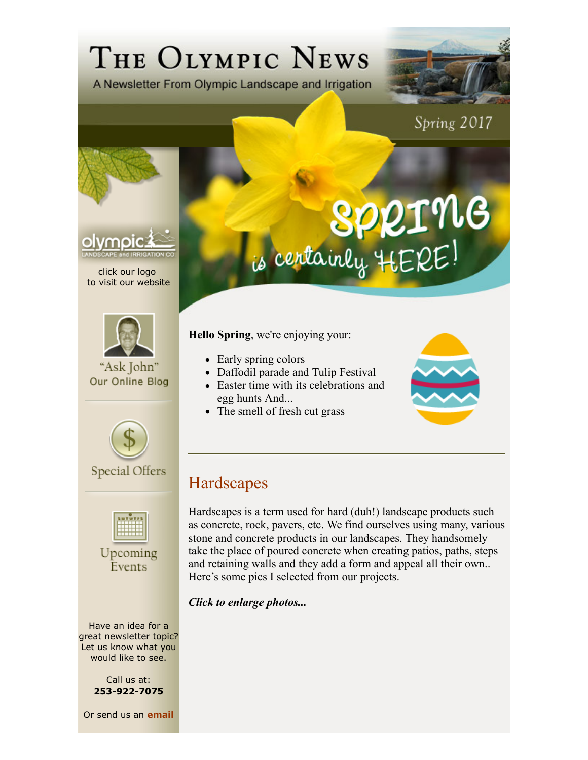## THE OLYMPIC NEWS

A Newsletter From Olympic Landscape and Irrigation



Spring 2017



click our logo to visit our website



"Ask John" Our Online Blog



```
Special Offers
```


Upcoming Events

Have an idea for a great newsletter topic? Let us know what you would like to see.

> Call us at: **253-922-7075**

Or send us an **email**

## is centainly HERE!

**Hello Spring**, we're enjoying your:

- Early spring colors
- Daffodil parade and Tulip Festival
- Easter time with its celebrations and egg hunts And...
- The smell of fresh cut grass



## Hardscapes

Hardscapes is a term used for hard (duh!) landscape products such as concrete, rock, pavers, etc. We find ourselves using many, various stone and concrete products in our landscapes. They handsomely take the place of poured concrete when creating patios, paths, steps and retaining walls and they add a form and appeal all their own.. Here's some pics I selected from our projects.

*Click to enlarge photos...*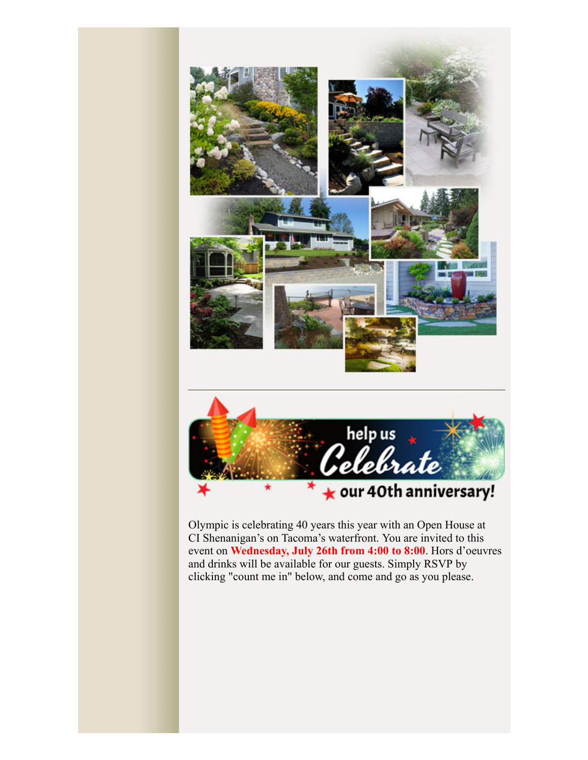

Olympic is celebrating 40 years this year with an Open House at CI Shenanigan's on Tacoma's waterfront. You are invited to this event on **Wednesday, July 26th from 4:00 to 8:00**. Hors d'oeuvres and drinks will be available for our guests. Simply RSVP by clicking "count me in" below, and come and go as you please.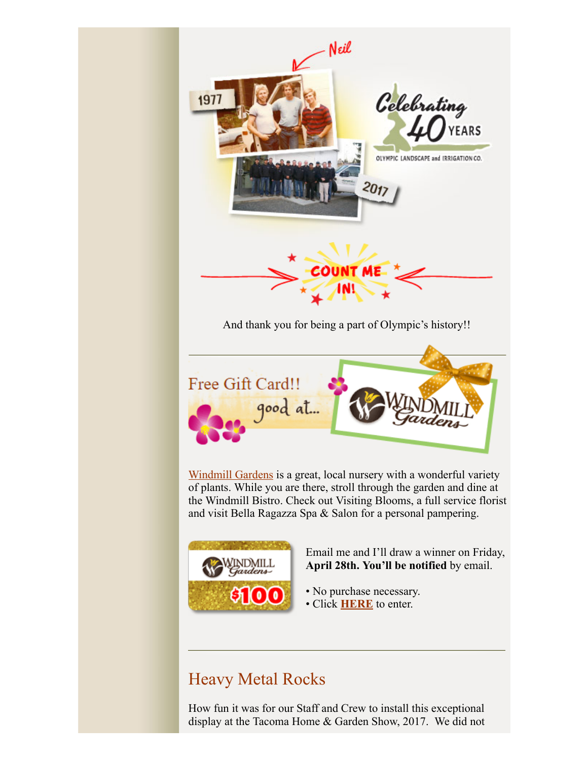



Email me and I'll draw a winner on Friday, **April 28th. You'll be notified** by email.

- No purchase necessary.
- Click **HERE** to enter.

## Heavy Metal Rocks

How fun it was for our Staff and Crew to install this exceptional display at the Tacoma Home & Garden Show, 2017. We did not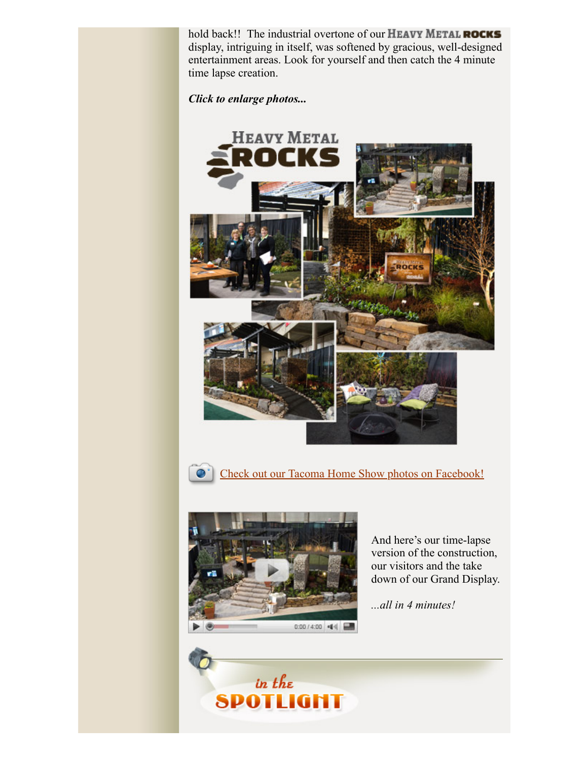hold back!! The industrial overtone of our HEAVY METAL ROCKS display, intriguing in itself, was softened by gracious, well-designed entertainment areas. Look for yourself and then catch the 4 minute time lapse creation.

*Click to enlarge photos...* 





Check out our Tacoma Home Show photos on Facebook!



And here's our time-lapse version of the construction, our visitors and the take down of our Grand Display.

*...all in 4 minutes!*